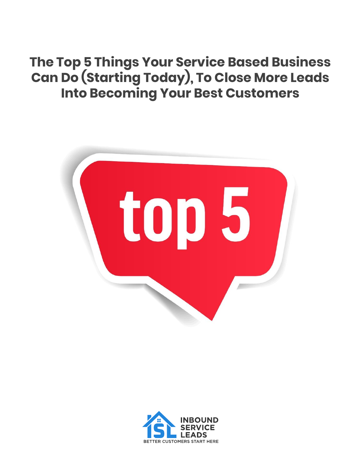# **The Top 5 Things Your Service Based Business Can Do (Starting Today), To Close More Leads Into Becoming Your Best Customers**



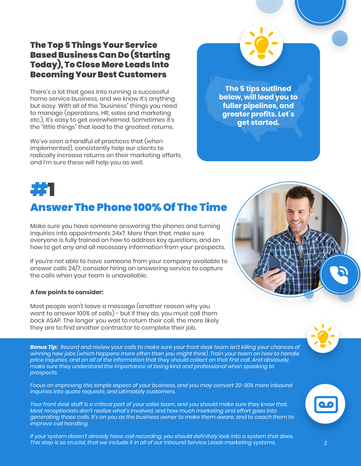### The Top 5 Things Your Service Based Business Can Do (Starting Today), To Close More Leads Into Becoming Your Best Customers

There's a lot that goes into running a successful home service business, and we know it's anything but easy. With all of the "business" things you need to manage (operations, HR, sales and marketing etc.), it's easy to get overwhelmed. Sometimes it's the "little things" that lead to the greatest returns.

We've seen a handful of practices that (when implemented), consistently help our clients to radically increase returns on their marketing efforts, and I'm sure these will help you as well.

**The 5 tips outlined below, will lead you to fuller pipelines, and greater profits. Let's get started.**



### Answer The Phone 100% Of The Time

Make sure you have someone answering the phones and turning inquiries into appointments 24x7. More than that, make sure everyone is fully trained on how to address key questions, and on how to get any and all necessary information from your prospects.

If you're not able to have someone from your company available to answer calls 24/7, consider hiring an answering service to capture the calls when your team is unavailable.

#### **A few points to consider:**

Most people won't leave a message (another reason why you want to answer 100% of calls) - but if they do, you must call them back ASAP. The longer you wait to return their call, the more likely they are to find another contractor to complete their job.

*Bonus Tip: Record and review your calls to make sure your front desk team isn't killing your chances of winning new jobs (which happens more often than you might think). Train your team on how to handle price inquiries, and on all of the information that they should collect on that first call. And obviously, make sure they understand the importance of being kind and professional when speaking to prospects.*

*Focus on improving this simple aspect of your business, and you may convert 20-30% more inbound inquiries into quote requests, and ultimately customers.*

*Your front desk staff is a critical part of your sales team, and you should make sure they know that. Most receptionists don't realize what's involved, and how much marketing and effort goes into generating those calls. It's on you as the business owner to make them aware, and to coach them to improve call handling.*

*If your system doesn't already have call recording, you should definitely look into a system that does. This step is so crucial, that we include it in all of our Inbound Service Leads marketing systems.* 2





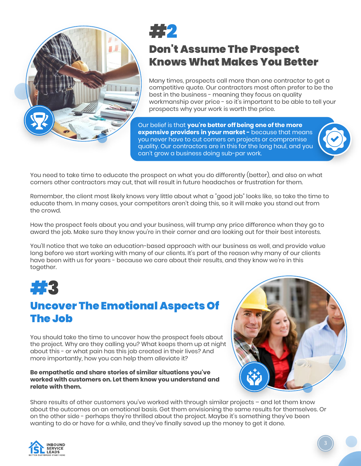

# #2

### Don't Assume The Prospect Knows What Makes You Better

Many times, prospects call more than one contractor to get a competitive quote. Our contractors most often prefer to be the best in the business - meaning they focus on quality workmanship over price - so it's important to be able to tell your prospects why your work is worth the price.

Our belief is that **you're better off being one of the more expensive providers in your market -** because that means you never have to cut corners on projects or compromise quality. Our contractors are in this for the long haul, and you can't grow a business doing sub-par work.



Remember, the client most likely knows very little about what a "good job" looks like, so take the time to educate them. In many cases, your competitors aren't doing this, so it will make you stand out from the crowd.

How the prospect feels about you and your business, will trump any price difference when they go to award the job. Make sure they know you're in their corner and are looking out for their best interests.

You'll notice that we take an education-based approach with our business as well, and provide value long before we start working with many of our clients. It's part of the reason why many of our clients have been with us for years - because we care about their results, and they know we're in this together.



### Uncover The Emotional Aspects Of The Job

You should take the time to uncover how the prospect feels about the project. Why are they calling you? What keeps them up at night about this - or what pain has this job created in their lives? And more importantly, how you can help them alleviate it?

#### **Be empathetic and share stories of similar situations you've worked with customers on. Let them know you understand and relate with them.**



Share results of other customers you've worked with through similar projects – and let them know about the outcomes on an emotional basis. Get them envisioning the same results for themselves. Or on the other side - perhaps they're thrilled about the project. Maybe it's something they've been wanting to do or have for a while, and they've finally saved up the money to get it done.

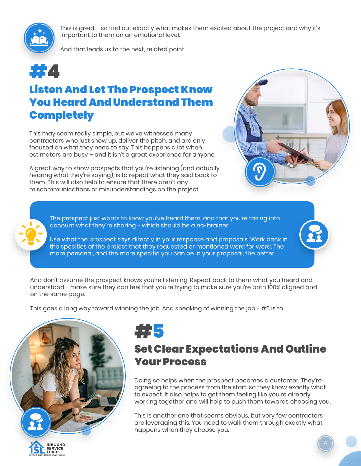

This is great - so find out exactly what makes them excited about the project and why it's important to them on an emotional level.

And that leads us to the next, related point…

# #4

### Listen And Let The Prospect Know You Heard And Understand Them **Completely**

This may seem really simple, but we've witnessed many contractors who just show up, deliver the pitch, and are only focused on what they need to say. This happens a lot when estimators are busy – and it isn't a great experience for anyone.

A great way to show prospects that you're listening (and actually hearing what they're saying), is to repeat what they said back to them. This will also help to ensure that there aren't any miscommunications or misunderstandings on the project.



The prospect just wants to know you've heard them, and that you're taking into account what they're sharing - which should be a no-brainer.

Use what the prospect says directly in your response and proposals. Work back in the specifics of the project that they requested or mentioned word for word. The more personal, and the more specific you can be in your proposal, the better.

And don't assume the prospect knows you're listening. Repeat back to them what you heard and understood - make sure they can feel that you're trying to make sure you're both 100% aligned and on the same page.

This goes a long way toward winning the job. And speaking of winning the job - #5 is to...





### Set Clear Expectations And Outline Your Process

Doing so helps when the prospect becomes a customer. They're agreeing to the process from the start, so they know exactly what to expect. It also helps to get them feeling like you're already working together and will help to push them towards choosing you.

This is another one that seems obvious, but very few contractors are leveraging this. You need to walk them through exactly what happens when they choose you.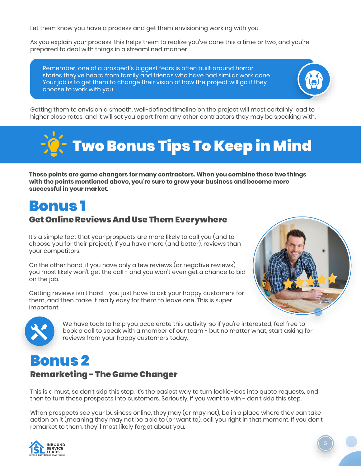Let them know you have a process and get them envisioning working with you.

As you explain your process, this helps them to realize you've done this a time or two, and you're prepared to deal with things in a streamlined manner.

Remember, one of a prospect's biggest fears is often built around horror stories they've heard from family and friends who have had similar work done. Your job is to get them to change their vision of how the project will go if they choose to work with you.





**These points are game changers for many contractors. When you combine these two things with the points mentioned above, you're sure to grow your business and become more successful in your market.** 

## Bonus 1

### Get Online Reviews And Use Them Everywhere

It's a simple fact that your prospects are more likely to call you (and to choose you for their project), if you have more (and better), reviews than your competitors.

On the other hand, if you have only a few reviews (or negative reviews), you most likely won't get the call - and you won't even get a chance to bid on the job.

Getting reviews isn't hard - you just have to ask your happy customers for them, and then make it really easy for them to leave one. This is super important.





We have tools to help you accelerate this activity, so if you're interested, feel free to book a call to speak with a member of our team - but no matter what, start asking for reviews from your happy customers today.

## Bonus 2

### Remarketing - The Game Changer

This is a must, so don't skip this step. It's the easiest way to turn lookie-loos into quote requests, and then to turn those prospects into customers. Seriously, if you want to win - don't skip this step.

When prospects see your business online, they may (or may not), be in a place where they can take action on it (meaning they may not be able to (or want to), call you right in that moment. If you don't remarket to them, they'll most likely forget about you.